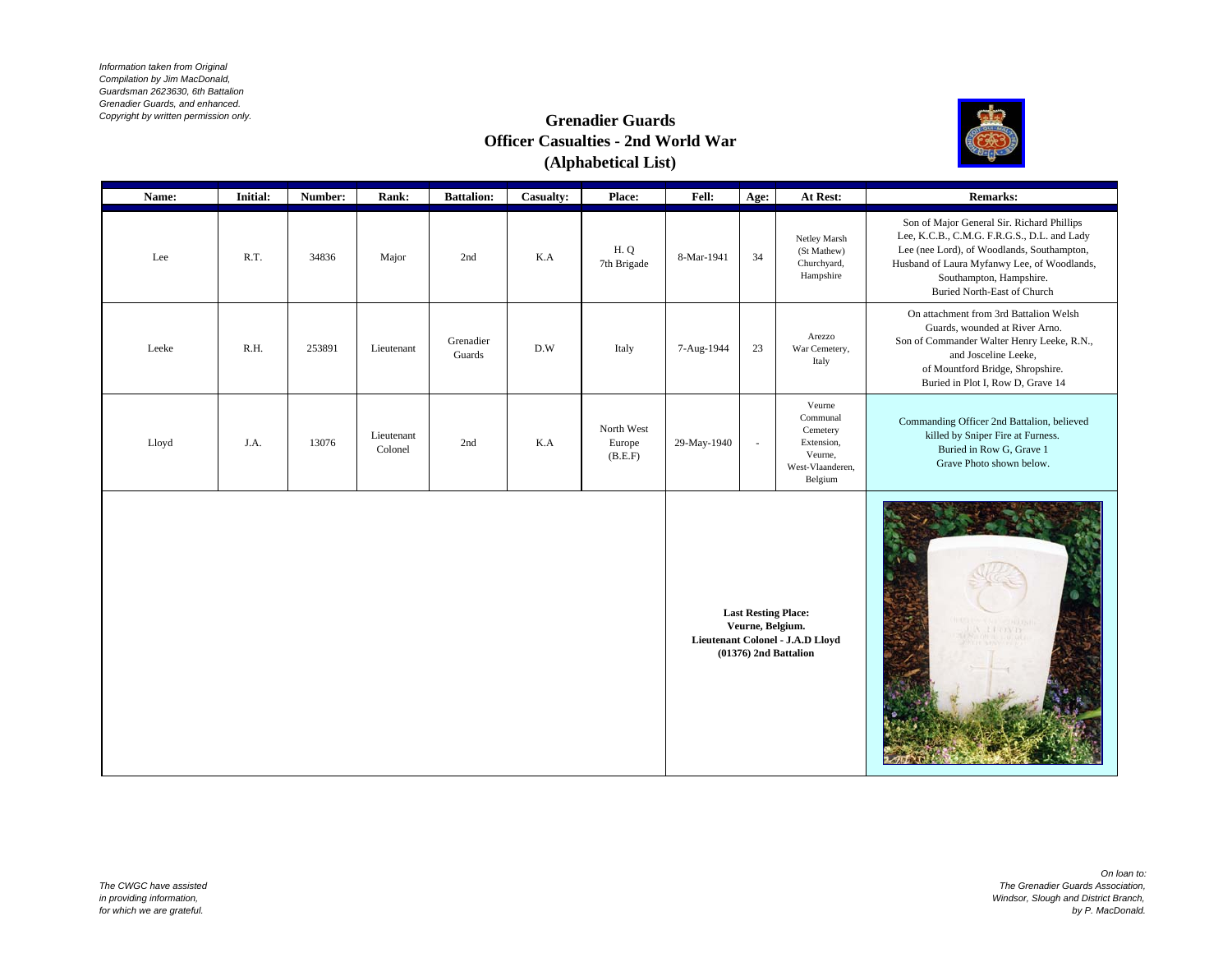*Information taken from Original Compilation by Jim MacDonald, Guardsman 2623630, 6th Battalion Grenadier Guards, and enhanced. Copyright by written permission only.* 

## **Grenadier Guards Officer Casualties - 2nd World War (Alphabetical List)**



| Name: | <b>Initial:</b> | Number: | Rank:                 | <b>Battalion:</b>   | <b>Casualty:</b> | <b>Place:</b>                   | <b>Fell:</b> | Age:   | At Rest:                                                                               | <b>Remarks:</b>                                                                                                                                                                                                                                  |
|-------|-----------------|---------|-----------------------|---------------------|------------------|---------------------------------|--------------|--------|----------------------------------------------------------------------------------------|--------------------------------------------------------------------------------------------------------------------------------------------------------------------------------------------------------------------------------------------------|
| Lee   | R.T.            | 34836   | Major                 | 2nd                 | K.A              | H.Q<br>7th Brigade              | 8-Mar-1941   | 34     | Netley Marsh<br>(St Mathew)<br>Churchyard,<br>Hampshire                                | Son of Major General Sir. Richard Phillips<br>Lee, K.C.B., C.M.G. F.R.G.S., D.L. and Lady<br>Lee (nee Lord), of Woodlands, Southampton,<br>Husband of Laura Myfanwy Lee, of Woodlands,<br>Southampton, Hampshire.<br>Buried North-East of Church |
| Leeke | R.H.            | 253891  | Lieutenant            | Grenadier<br>Guards | D.W              | Italy                           | 7-Aug-1944   | 23     | Arezzo<br>War Cemetery,<br>Italy                                                       | On attachment from 3rd Battalion Welsh<br>Guards, wounded at River Arno.<br>Son of Commander Walter Henry Leeke, R.N.,<br>and Josceline Leeke,<br>of Mountford Bridge, Shropshire.<br>Buried in Plot I, Row D, Grave 14                          |
| Lloyd | J.A.            | 13076   | Lieutenant<br>Colonel | 2nd                 | K.A              | North West<br>Europe<br>(B.E.F) | 29-May-1940  | $\sim$ | Veurne<br>Communal<br>Cemetery<br>Extension,<br>Veurne,<br>West-Vlaanderen.<br>Belgium | Commanding Officer 2nd Battalion, believed<br>killed by Sniper Fire at Furness.<br>Buried in Row G, Grave 1<br>Grave Photo shown below.                                                                                                          |
|       |                 |         |                       |                     |                  |                                 |              |        |                                                                                        |                                                                                                                                                                                                                                                  |

**Last Resting Place: Veurne, Belgium. Lieutenant Colonel - J.A.D Lloyd (01376) 2nd Battalion**